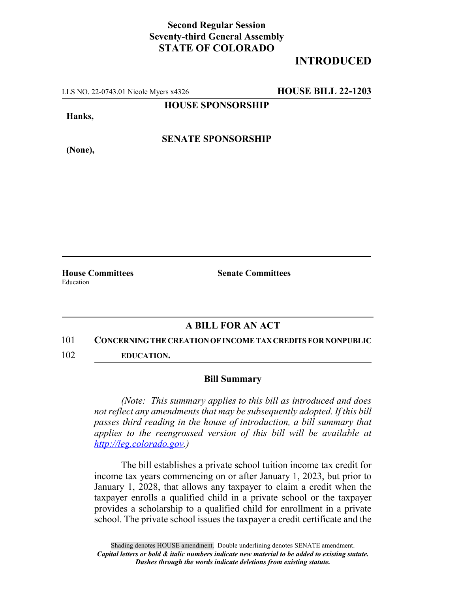## **Second Regular Session Seventy-third General Assembly STATE OF COLORADO**

# **INTRODUCED**

LLS NO. 22-0743.01 Nicole Myers x4326 **HOUSE BILL 22-1203**

**HOUSE SPONSORSHIP**

**Hanks,**

**(None),**

**SENATE SPONSORSHIP**

Education

**House Committees Senate Committees**

### **A BILL FOR AN ACT**

#### 101 **CONCERNING THE CREATION OF INCOME TAX CREDITS FOR NONPUBLIC**

102 **EDUCATION.**

### **Bill Summary**

*(Note: This summary applies to this bill as introduced and does not reflect any amendments that may be subsequently adopted. If this bill passes third reading in the house of introduction, a bill summary that applies to the reengrossed version of this bill will be available at http://leg.colorado.gov.)*

The bill establishes a private school tuition income tax credit for income tax years commencing on or after January 1, 2023, but prior to January 1, 2028, that allows any taxpayer to claim a credit when the taxpayer enrolls a qualified child in a private school or the taxpayer provides a scholarship to a qualified child for enrollment in a private school. The private school issues the taxpayer a credit certificate and the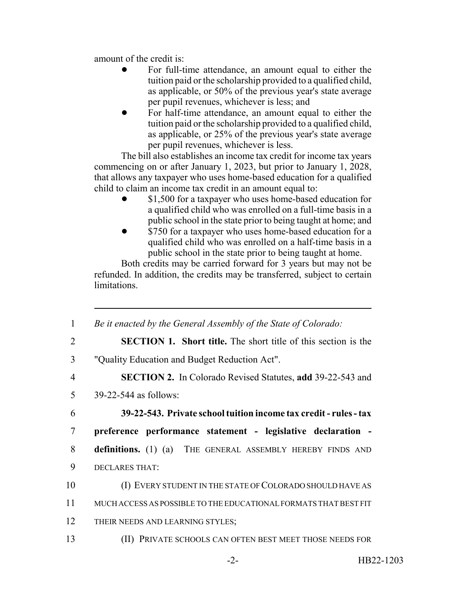amount of the credit is:

- ! For full-time attendance, an amount equal to either the tuition paid or the scholarship provided to a qualified child, as applicable, or 50% of the previous year's state average per pupil revenues, whichever is less; and
- ! For half-time attendance, an amount equal to either the tuition paid or the scholarship provided to a qualified child, as applicable, or 25% of the previous year's state average per pupil revenues, whichever is less.

The bill also establishes an income tax credit for income tax years commencing on or after January 1, 2023, but prior to January 1, 2028, that allows any taxpayer who uses home-based education for a qualified child to claim an income tax credit in an amount equal to:

- \$1,500 for a taxpayer who uses home-based education for a qualified child who was enrolled on a full-time basis in a public school in the state prior to being taught at home; and
- \$750 for a taxpayer who uses home-based education for a qualified child who was enrolled on a half-time basis in a public school in the state prior to being taught at home.

Both credits may be carried forward for 3 years but may not be refunded. In addition, the credits may be transferred, subject to certain limitations.

| 1  | Be it enacted by the General Assembly of the State of Colorado:       |
|----|-----------------------------------------------------------------------|
| 2  | <b>SECTION 1. Short title.</b> The short title of this section is the |
| 3  | "Quality Education and Budget Reduction Act".                         |
| 4  | <b>SECTION 2.</b> In Colorado Revised Statutes, add 39-22-543 and     |
| 5  | 39-22-544 as follows:                                                 |
| 6  | 39-22-543. Private school tuition income tax credit - rules - tax     |
| 7  | preference performance statement - legislative declaration -          |
| 8  | <b>definitions.</b> (1) (a) THE GENERAL ASSEMBLY HEREBY FINDS AND     |
| 9  | DECLARES THAT:                                                        |
| 10 | (I) EVERY STUDENT IN THE STATE OF COLORADO SHOULD HAVE AS             |
| 11 | MUCH ACCESS AS POSSIBLE TO THE EDUCATIONAL FORMATS THAT BEST FIT      |
| 12 | THEIR NEEDS AND LEARNING STYLES;                                      |
| 13 | (II) PRIVATE SCHOOLS CAN OFTEN BEST MEET THOSE NEEDS FOR              |
|    |                                                                       |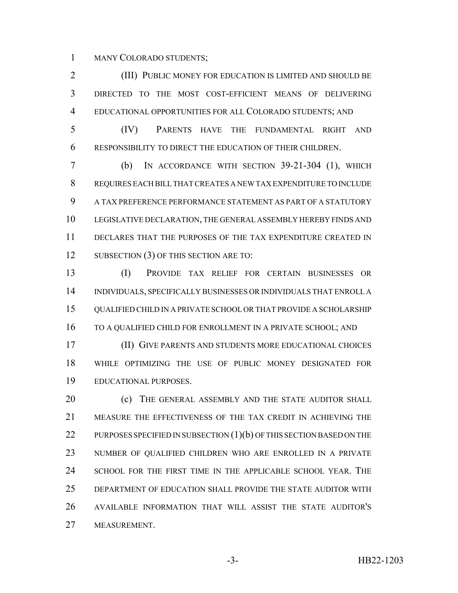MANY COLORADO STUDENTS;

 (III) PUBLIC MONEY FOR EDUCATION IS LIMITED AND SHOULD BE DIRECTED TO THE MOST COST-EFFICIENT MEANS OF DELIVERING EDUCATIONAL OPPORTUNITIES FOR ALL COLORADO STUDENTS; AND

 (IV) PARENTS HAVE THE FUNDAMENTAL RIGHT AND RESPONSIBILITY TO DIRECT THE EDUCATION OF THEIR CHILDREN.

 (b) IN ACCORDANCE WITH SECTION 39-21-304 (1), WHICH REQUIRES EACH BILL THAT CREATES A NEW TAX EXPENDITURE TO INCLUDE A TAX PREFERENCE PERFORMANCE STATEMENT AS PART OF A STATUTORY LEGISLATIVE DECLARATION, THE GENERAL ASSEMBLY HEREBY FINDS AND DECLARES THAT THE PURPOSES OF THE TAX EXPENDITURE CREATED IN 12 SUBSECTION (3) OF THIS SECTION ARE TO:

 (I) PROVIDE TAX RELIEF FOR CERTAIN BUSINESSES OR INDIVIDUALS, SPECIFICALLY BUSINESSES OR INDIVIDUALS THAT ENROLL A QUALIFIED CHILD IN A PRIVATE SCHOOL OR THAT PROVIDE A SCHOLARSHIP TO A QUALIFIED CHILD FOR ENROLLMENT IN A PRIVATE SCHOOL; AND

 (II) GIVE PARENTS AND STUDENTS MORE EDUCATIONAL CHOICES WHILE OPTIMIZING THE USE OF PUBLIC MONEY DESIGNATED FOR EDUCATIONAL PURPOSES.

**(c)** THE GENERAL ASSEMBLY AND THE STATE AUDITOR SHALL MEASURE THE EFFECTIVENESS OF THE TAX CREDIT IN ACHIEVING THE 22 PURPOSES SPECIFIED IN SUBSECTION (1)(b) OF THIS SECTION BASED ON THE NUMBER OF QUALIFIED CHILDREN WHO ARE ENROLLED IN A PRIVATE SCHOOL FOR THE FIRST TIME IN THE APPLICABLE SCHOOL YEAR. THE DEPARTMENT OF EDUCATION SHALL PROVIDE THE STATE AUDITOR WITH AVAILABLE INFORMATION THAT WILL ASSIST THE STATE AUDITOR'S MEASUREMENT.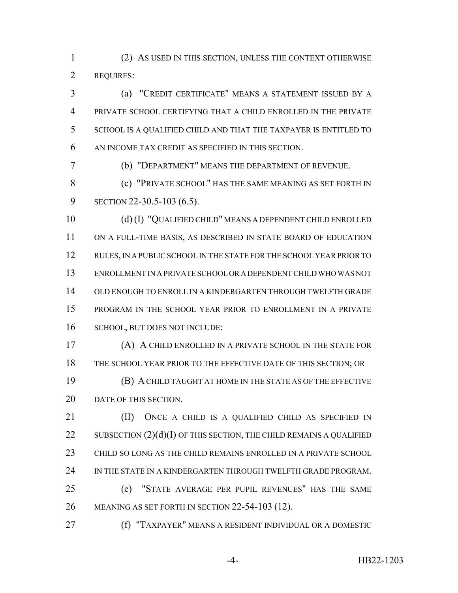(2) AS USED IN THIS SECTION, UNLESS THE CONTEXT OTHERWISE REQUIRES:

 (a) "CREDIT CERTIFICATE" MEANS A STATEMENT ISSUED BY A PRIVATE SCHOOL CERTIFYING THAT A CHILD ENROLLED IN THE PRIVATE SCHOOL IS A QUALIFIED CHILD AND THAT THE TAXPAYER IS ENTITLED TO AN INCOME TAX CREDIT AS SPECIFIED IN THIS SECTION.

(b) "DEPARTMENT" MEANS THE DEPARTMENT OF REVENUE.

 (c) "PRIVATE SCHOOL" HAS THE SAME MEANING AS SET FORTH IN SECTION 22-30.5-103 (6.5).

 (d) (I) "QUALIFIED CHILD" MEANS A DEPENDENT CHILD ENROLLED ON A FULL-TIME BASIS, AS DESCRIBED IN STATE BOARD OF EDUCATION RULES, IN A PUBLIC SCHOOL IN THE STATE FOR THE SCHOOL YEAR PRIOR TO ENROLLMENT IN A PRIVATE SCHOOL OR A DEPENDENT CHILD WHO WAS NOT OLD ENOUGH TO ENROLL IN A KINDERGARTEN THROUGH TWELFTH GRADE PROGRAM IN THE SCHOOL YEAR PRIOR TO ENROLLMENT IN A PRIVATE 16 SCHOOL, BUT DOES NOT INCLUDE:

 (A) A CHILD ENROLLED IN A PRIVATE SCHOOL IN THE STATE FOR 18 THE SCHOOL YEAR PRIOR TO THE EFFECTIVE DATE OF THIS SECTION; OR (B) A CHILD TAUGHT AT HOME IN THE STATE AS OF THE EFFECTIVE 20 DATE OF THIS SECTION.

**(II)** ONCE A CHILD IS A QUALIFIED CHILD AS SPECIFIED IN 22 SUBSECTION  $(2)(d)(I)$  OF THIS SECTION, THE CHILD REMAINS A QUALIFIED CHILD SO LONG AS THE CHILD REMAINS ENROLLED IN A PRIVATE SCHOOL 24 IN THE STATE IN A KINDERGARTEN THROUGH TWELFTH GRADE PROGRAM. (e) "STATE AVERAGE PER PUPIL REVENUES" HAS THE SAME MEANING AS SET FORTH IN SECTION 22-54-103 (12).

(f) "TAXPAYER" MEANS A RESIDENT INDIVIDUAL OR A DOMESTIC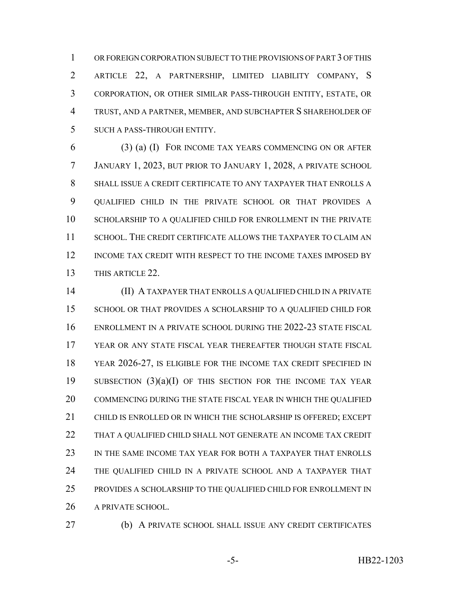OR FOREIGN CORPORATION SUBJECT TO THE PROVISIONS OF PART 3 OF THIS ARTICLE 22, A PARTNERSHIP, LIMITED LIABILITY COMPANY, S CORPORATION, OR OTHER SIMILAR PASS-THROUGH ENTITY, ESTATE, OR TRUST, AND A PARTNER, MEMBER, AND SUBCHAPTER S SHAREHOLDER OF SUCH A PASS-THROUGH ENTITY.

 (3) (a) (I) FOR INCOME TAX YEARS COMMENCING ON OR AFTER JANUARY 1, 2023, BUT PRIOR TO JANUARY 1, 2028, A PRIVATE SCHOOL SHALL ISSUE A CREDIT CERTIFICATE TO ANY TAXPAYER THAT ENROLLS A QUALIFIED CHILD IN THE PRIVATE SCHOOL OR THAT PROVIDES A 10 SCHOLARSHIP TO A QUALIFIED CHILD FOR ENROLLMENT IN THE PRIVATE SCHOOL. THE CREDIT CERTIFICATE ALLOWS THE TAXPAYER TO CLAIM AN INCOME TAX CREDIT WITH RESPECT TO THE INCOME TAXES IMPOSED BY THIS ARTICLE 22.

 (II) A TAXPAYER THAT ENROLLS A QUALIFIED CHILD IN A PRIVATE 15 SCHOOL OR THAT PROVIDES A SCHOLARSHIP TO A QUALIFIED CHILD FOR ENROLLMENT IN A PRIVATE SCHOOL DURING THE 2022-23 STATE FISCAL YEAR OR ANY STATE FISCAL YEAR THEREAFTER THOUGH STATE FISCAL YEAR 2026-27, IS ELIGIBLE FOR THE INCOME TAX CREDIT SPECIFIED IN SUBSECTION (3)(a)(I) OF THIS SECTION FOR THE INCOME TAX YEAR COMMENCING DURING THE STATE FISCAL YEAR IN WHICH THE QUALIFIED CHILD IS ENROLLED OR IN WHICH THE SCHOLARSHIP IS OFFERED; EXCEPT THAT A QUALIFIED CHILD SHALL NOT GENERATE AN INCOME TAX CREDIT IN THE SAME INCOME TAX YEAR FOR BOTH A TAXPAYER THAT ENROLLS THE QUALIFIED CHILD IN A PRIVATE SCHOOL AND A TAXPAYER THAT 25 PROVIDES A SCHOLARSHIP TO THE QUALIFIED CHILD FOR ENROLLMENT IN A PRIVATE SCHOOL.

- 
- (b) A PRIVATE SCHOOL SHALL ISSUE ANY CREDIT CERTIFICATES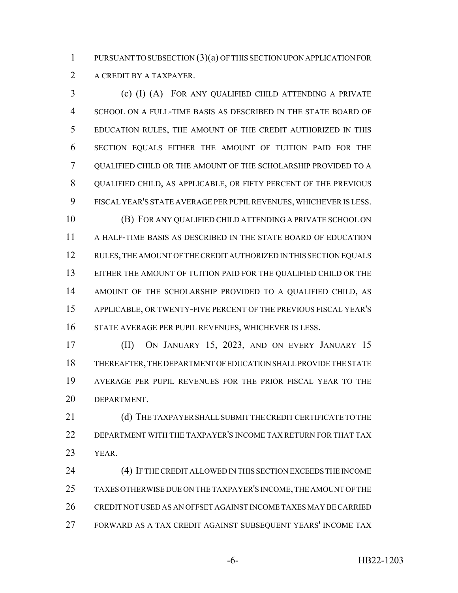PURSUANT TO SUBSECTION (3)(a) OF THIS SECTION UPON APPLICATION FOR 2 A CREDIT BY A TAXPAYER.

 (c) (I) (A) FOR ANY QUALIFIED CHILD ATTENDING A PRIVATE SCHOOL ON A FULL-TIME BASIS AS DESCRIBED IN THE STATE BOARD OF EDUCATION RULES, THE AMOUNT OF THE CREDIT AUTHORIZED IN THIS SECTION EQUALS EITHER THE AMOUNT OF TUITION PAID FOR THE QUALIFIED CHILD OR THE AMOUNT OF THE SCHOLARSHIP PROVIDED TO A QUALIFIED CHILD, AS APPLICABLE, OR FIFTY PERCENT OF THE PREVIOUS FISCAL YEAR'S STATE AVERAGE PER PUPIL REVENUES, WHICHEVER IS LESS. (B) FOR ANY QUALIFIED CHILD ATTENDING A PRIVATE SCHOOL ON A HALF-TIME BASIS AS DESCRIBED IN THE STATE BOARD OF EDUCATION 12 RULES, THE AMOUNT OF THE CREDIT AUTHORIZED IN THIS SECTION EQUALS

 EITHER THE AMOUNT OF TUITION PAID FOR THE QUALIFIED CHILD OR THE AMOUNT OF THE SCHOLARSHIP PROVIDED TO A QUALIFIED CHILD, AS APPLICABLE, OR TWENTY-FIVE PERCENT OF THE PREVIOUS FISCAL YEAR'S STATE AVERAGE PER PUPIL REVENUES, WHICHEVER IS LESS.

 (II) ON JANUARY 15, 2023, AND ON EVERY JANUARY 15 THEREAFTER, THE DEPARTMENT OF EDUCATION SHALL PROVIDE THE STATE AVERAGE PER PUPIL REVENUES FOR THE PRIOR FISCAL YEAR TO THE DEPARTMENT.

21 (d) THE TAXPAYER SHALL SUBMIT THE CREDIT CERTIFICATE TO THE DEPARTMENT WITH THE TAXPAYER'S INCOME TAX RETURN FOR THAT TAX YEAR.

 (4) IF THE CREDIT ALLOWED IN THIS SECTION EXCEEDS THE INCOME TAXES OTHERWISE DUE ON THE TAXPAYER'S INCOME, THE AMOUNT OF THE CREDIT NOT USED AS AN OFFSET AGAINST INCOME TAXES MAY BE CARRIED FORWARD AS A TAX CREDIT AGAINST SUBSEQUENT YEARS' INCOME TAX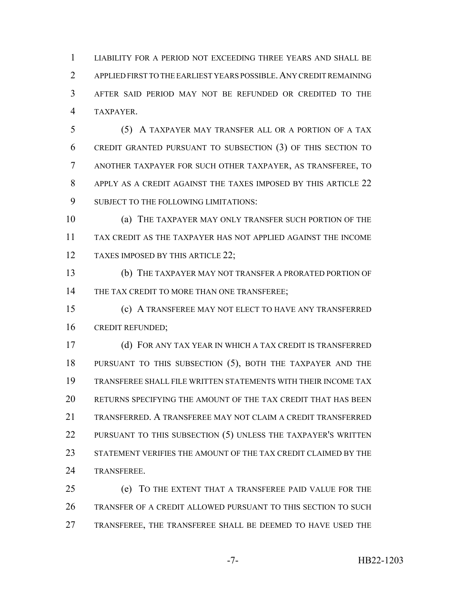LIABILITY FOR A PERIOD NOT EXCEEDING THREE YEARS AND SHALL BE APPLIED FIRST TO THE EARLIEST YEARS POSSIBLE.ANY CREDIT REMAINING AFTER SAID PERIOD MAY NOT BE REFUNDED OR CREDITED TO THE TAXPAYER.

 (5) A TAXPAYER MAY TRANSFER ALL OR A PORTION OF A TAX CREDIT GRANTED PURSUANT TO SUBSECTION (3) OF THIS SECTION TO ANOTHER TAXPAYER FOR SUCH OTHER TAXPAYER, AS TRANSFEREE, TO APPLY AS A CREDIT AGAINST THE TAXES IMPOSED BY THIS ARTICLE 22 SUBJECT TO THE FOLLOWING LIMITATIONS:

 (a) THE TAXPAYER MAY ONLY TRANSFER SUCH PORTION OF THE TAX CREDIT AS THE TAXPAYER HAS NOT APPLIED AGAINST THE INCOME 12 TAXES IMPOSED BY THIS ARTICLE 22;

 (b) THE TAXPAYER MAY NOT TRANSFER A PRORATED PORTION OF 14 THE TAX CREDIT TO MORE THAN ONE TRANSFEREE;

 (c) A TRANSFEREE MAY NOT ELECT TO HAVE ANY TRANSFERRED CREDIT REFUNDED;

 (d) FOR ANY TAX YEAR IN WHICH A TAX CREDIT IS TRANSFERRED PURSUANT TO THIS SUBSECTION (5), BOTH THE TAXPAYER AND THE TRANSFEREE SHALL FILE WRITTEN STATEMENTS WITH THEIR INCOME TAX RETURNS SPECIFYING THE AMOUNT OF THE TAX CREDIT THAT HAS BEEN TRANSFERRED. A TRANSFEREE MAY NOT CLAIM A CREDIT TRANSFERRED 22 PURSUANT TO THIS SUBSECTION (5) UNLESS THE TAXPAYER'S WRITTEN STATEMENT VERIFIES THE AMOUNT OF THE TAX CREDIT CLAIMED BY THE TRANSFEREE.

 (e) TO THE EXTENT THAT A TRANSFEREE PAID VALUE FOR THE TRANSFER OF A CREDIT ALLOWED PURSUANT TO THIS SECTION TO SUCH TRANSFEREE, THE TRANSFEREE SHALL BE DEEMED TO HAVE USED THE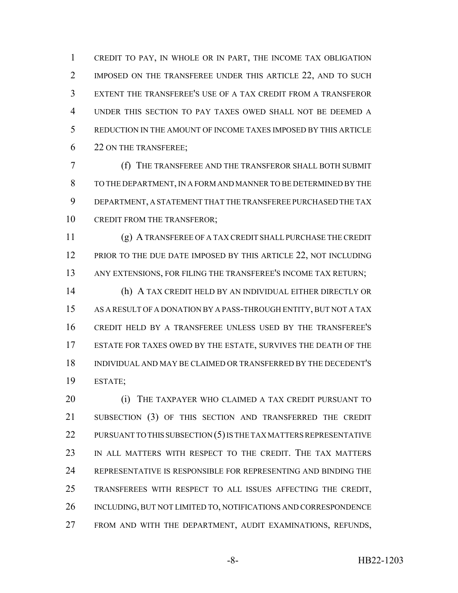CREDIT TO PAY, IN WHOLE OR IN PART, THE INCOME TAX OBLIGATION 2 IMPOSED ON THE TRANSFEREE UNDER THIS ARTICLE 22, AND TO SUCH EXTENT THE TRANSFEREE'S USE OF A TAX CREDIT FROM A TRANSFEROR UNDER THIS SECTION TO PAY TAXES OWED SHALL NOT BE DEEMED A REDUCTION IN THE AMOUNT OF INCOME TAXES IMPOSED BY THIS ARTICLE 22 ON THE TRANSFEREE;

 (f) THE TRANSFEREE AND THE TRANSFEROR SHALL BOTH SUBMIT TO THE DEPARTMENT, IN A FORM AND MANNER TO BE DETERMINED BY THE DEPARTMENT, A STATEMENT THAT THE TRANSFEREE PURCHASED THE TAX 10 CREDIT FROM THE TRANSFEROR:

 (g) A TRANSFEREE OF A TAX CREDIT SHALL PURCHASE THE CREDIT 12 PRIOR TO THE DUE DATE IMPOSED BY THIS ARTICLE 22, NOT INCLUDING ANY EXTENSIONS, FOR FILING THE TRANSFEREE'S INCOME TAX RETURN;

 (h) A TAX CREDIT HELD BY AN INDIVIDUAL EITHER DIRECTLY OR AS A RESULT OF A DONATION BY A PASS-THROUGH ENTITY, BUT NOT A TAX CREDIT HELD BY A TRANSFEREE UNLESS USED BY THE TRANSFEREE'S ESTATE FOR TAXES OWED BY THE ESTATE, SURVIVES THE DEATH OF THE INDIVIDUAL AND MAY BE CLAIMED OR TRANSFERRED BY THE DECEDENT'S ESTATE;

 (i) THE TAXPAYER WHO CLAIMED A TAX CREDIT PURSUANT TO SUBSECTION (3) OF THIS SECTION AND TRANSFERRED THE CREDIT 22 PURSUANT TO THIS SUBSECTION (5) IS THE TAX MATTERS REPRESENTATIVE IN ALL MATTERS WITH RESPECT TO THE CREDIT. THE TAX MATTERS REPRESENTATIVE IS RESPONSIBLE FOR REPRESENTING AND BINDING THE TRANSFEREES WITH RESPECT TO ALL ISSUES AFFECTING THE CREDIT, INCLUDING, BUT NOT LIMITED TO, NOTIFICATIONS AND CORRESPONDENCE FROM AND WITH THE DEPARTMENT, AUDIT EXAMINATIONS, REFUNDS,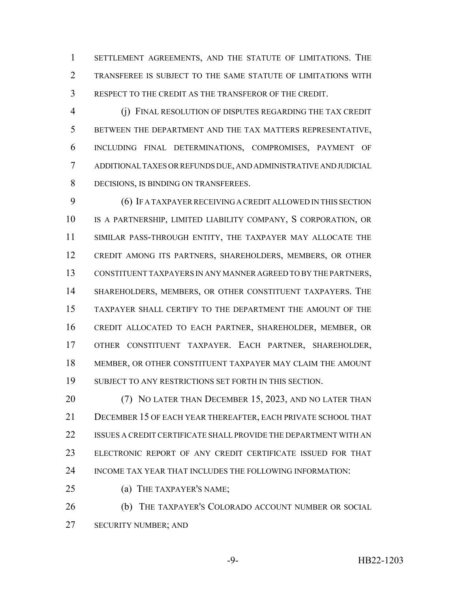SETTLEMENT AGREEMENTS, AND THE STATUTE OF LIMITATIONS. THE TRANSFEREE IS SUBJECT TO THE SAME STATUTE OF LIMITATIONS WITH RESPECT TO THE CREDIT AS THE TRANSFEROR OF THE CREDIT.

 (j) FINAL RESOLUTION OF DISPUTES REGARDING THE TAX CREDIT BETWEEN THE DEPARTMENT AND THE TAX MATTERS REPRESENTATIVE, INCLUDING FINAL DETERMINATIONS, COMPROMISES, PAYMENT OF ADDITIONAL TAXES OR REFUNDS DUE, AND ADMINISTRATIVE AND JUDICIAL DECISIONS, IS BINDING ON TRANSFEREES.

 (6) IF A TAXPAYER RECEIVING A CREDIT ALLOWED IN THIS SECTION IS A PARTNERSHIP, LIMITED LIABILITY COMPANY, S CORPORATION, OR SIMILAR PASS-THROUGH ENTITY, THE TAXPAYER MAY ALLOCATE THE CREDIT AMONG ITS PARTNERS, SHAREHOLDERS, MEMBERS, OR OTHER CONSTITUENT TAXPAYERS IN ANY MANNER AGREED TO BY THE PARTNERS, SHAREHOLDERS, MEMBERS, OR OTHER CONSTITUENT TAXPAYERS. THE TAXPAYER SHALL CERTIFY TO THE DEPARTMENT THE AMOUNT OF THE CREDIT ALLOCATED TO EACH PARTNER, SHAREHOLDER, MEMBER, OR OTHER CONSTITUENT TAXPAYER. EACH PARTNER, SHAREHOLDER, MEMBER, OR OTHER CONSTITUENT TAXPAYER MAY CLAIM THE AMOUNT 19 SUBJECT TO ANY RESTRICTIONS SET FORTH IN THIS SECTION.

 (7) NO LATER THAN DECEMBER 15, 2023, AND NO LATER THAN DECEMBER 15 OF EACH YEAR THEREAFTER, EACH PRIVATE SCHOOL THAT ISSUES A CREDIT CERTIFICATE SHALL PROVIDE THE DEPARTMENT WITH AN ELECTRONIC REPORT OF ANY CREDIT CERTIFICATE ISSUED FOR THAT INCOME TAX YEAR THAT INCLUDES THE FOLLOWING INFORMATION:

(a) THE TAXPAYER'S NAME;

**(b)** THE TAXPAYER'S COLORADO ACCOUNT NUMBER OR SOCIAL SECURITY NUMBER; AND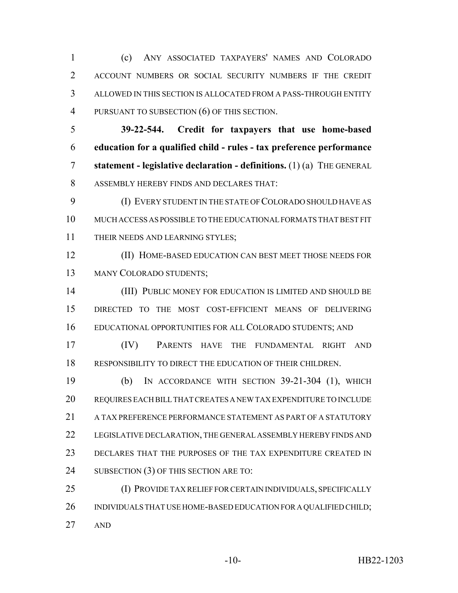(c) ANY ASSOCIATED TAXPAYERS' NAMES AND COLORADO ACCOUNT NUMBERS OR SOCIAL SECURITY NUMBERS IF THE CREDIT ALLOWED IN THIS SECTION IS ALLOCATED FROM A PASS-THROUGH ENTITY PURSUANT TO SUBSECTION (6) OF THIS SECTION.

 **39-22-544. Credit for taxpayers that use home-based education for a qualified child - rules - tax preference performance statement - legislative declaration - definitions.** (1) (a) THE GENERAL ASSEMBLY HEREBY FINDS AND DECLARES THAT:

 (I) EVERY STUDENT IN THE STATE OF COLORADO SHOULD HAVE AS MUCH ACCESS AS POSSIBLE TO THE EDUCATIONAL FORMATS THAT BEST FIT 11 THEIR NEEDS AND LEARNING STYLES;

 (II) HOME-BASED EDUCATION CAN BEST MEET THOSE NEEDS FOR MANY COLORADO STUDENTS;

 (III) PUBLIC MONEY FOR EDUCATION IS LIMITED AND SHOULD BE DIRECTED TO THE MOST COST-EFFICIENT MEANS OF DELIVERING EDUCATIONAL OPPORTUNITIES FOR ALL COLORADO STUDENTS; AND

 (IV) PARENTS HAVE THE FUNDAMENTAL RIGHT AND RESPONSIBILITY TO DIRECT THE EDUCATION OF THEIR CHILDREN.

 (b) IN ACCORDANCE WITH SECTION 39-21-304 (1), WHICH REQUIRES EACH BILL THAT CREATES A NEW TAX EXPENDITURE TO INCLUDE 21 A TAX PREFERENCE PERFORMANCE STATEMENT AS PART OF A STATUTORY LEGISLATIVE DECLARATION, THE GENERAL ASSEMBLY HEREBY FINDS AND DECLARES THAT THE PURPOSES OF THE TAX EXPENDITURE CREATED IN 24 SUBSECTION (3) OF THIS SECTION ARE TO:

 (I) PROVIDE TAX RELIEF FOR CERTAIN INDIVIDUALS, SPECIFICALLY 26 INDIVIDUALS THAT USE HOME-BASED EDUCATION FOR A QUALIFIED CHILD; AND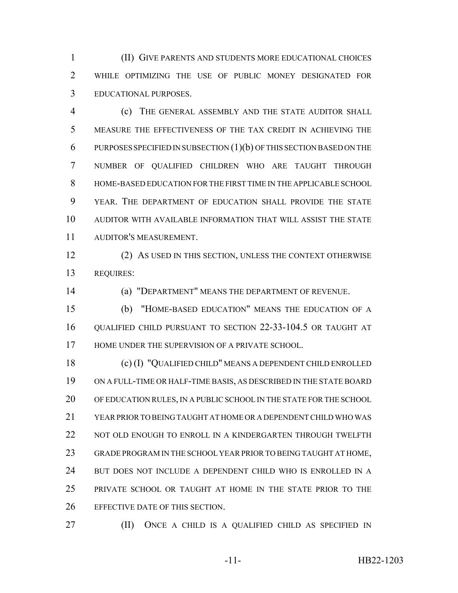(II) GIVE PARENTS AND STUDENTS MORE EDUCATIONAL CHOICES WHILE OPTIMIZING THE USE OF PUBLIC MONEY DESIGNATED FOR EDUCATIONAL PURPOSES.

 (c) THE GENERAL ASSEMBLY AND THE STATE AUDITOR SHALL MEASURE THE EFFECTIVENESS OF THE TAX CREDIT IN ACHIEVING THE PURPOSES SPECIFIED IN SUBSECTION (1)(b) OF THIS SECTION BASED ON THE NUMBER OF QUALIFIED CHILDREN WHO ARE TAUGHT THROUGH HOME-BASED EDUCATION FOR THE FIRST TIME IN THE APPLICABLE SCHOOL YEAR. THE DEPARTMENT OF EDUCATION SHALL PROVIDE THE STATE AUDITOR WITH AVAILABLE INFORMATION THAT WILL ASSIST THE STATE AUDITOR'S MEASUREMENT.

 (2) AS USED IN THIS SECTION, UNLESS THE CONTEXT OTHERWISE REQUIRES:

(a) "DEPARTMENT" MEANS THE DEPARTMENT OF REVENUE.

 (b) "HOME-BASED EDUCATION" MEANS THE EDUCATION OF A QUALIFIED CHILD PURSUANT TO SECTION 22-33-104.5 OR TAUGHT AT 17 HOME UNDER THE SUPERVISION OF A PRIVATE SCHOOL.

 (c) (I) "QUALIFIED CHILD" MEANS A DEPENDENT CHILD ENROLLED ON A FULL-TIME OR HALF-TIME BASIS, AS DESCRIBED IN THE STATE BOARD OF EDUCATION RULES, IN A PUBLIC SCHOOL IN THE STATE FOR THE SCHOOL YEAR PRIOR TO BEING TAUGHT AT HOME OR A DEPENDENT CHILD WHO WAS 22 NOT OLD ENOUGH TO ENROLL IN A KINDERGARTEN THROUGH TWELFTH GRADE PROGRAM IN THE SCHOOL YEAR PRIOR TO BEING TAUGHT AT HOME, BUT DOES NOT INCLUDE A DEPENDENT CHILD WHO IS ENROLLED IN A PRIVATE SCHOOL OR TAUGHT AT HOME IN THE STATE PRIOR TO THE EFFECTIVE DATE OF THIS SECTION.

(II) ONCE A CHILD IS A QUALIFIED CHILD AS SPECIFIED IN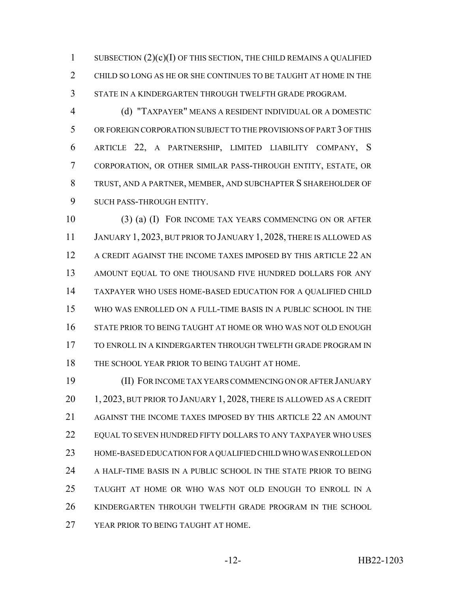1 SUBSECTION  $(2)(c)(I)$  OF THIS SECTION, THE CHILD REMAINS A QUALIFIED CHILD SO LONG AS HE OR SHE CONTINUES TO BE TAUGHT AT HOME IN THE STATE IN A KINDERGARTEN THROUGH TWELFTH GRADE PROGRAM.

 (d) "TAXPAYER" MEANS A RESIDENT INDIVIDUAL OR A DOMESTIC OR FOREIGN CORPORATION SUBJECT TO THE PROVISIONS OF PART 3 OF THIS ARTICLE 22, A PARTNERSHIP, LIMITED LIABILITY COMPANY, S CORPORATION, OR OTHER SIMILAR PASS-THROUGH ENTITY, ESTATE, OR TRUST, AND A PARTNER, MEMBER, AND SUBCHAPTER S SHAREHOLDER OF SUCH PASS-THROUGH ENTITY.

 (3) (a) (I) FOR INCOME TAX YEARS COMMENCING ON OR AFTER 11 JANUARY 1, 2023, BUT PRIOR TO JANUARY 1, 2028, THERE IS ALLOWED AS A CREDIT AGAINST THE INCOME TAXES IMPOSED BY THIS ARTICLE 22 AN 13 AMOUNT EQUAL TO ONE THOUSAND FIVE HUNDRED DOLLARS FOR ANY TAXPAYER WHO USES HOME-BASED EDUCATION FOR A QUALIFIED CHILD WHO WAS ENROLLED ON A FULL-TIME BASIS IN A PUBLIC SCHOOL IN THE STATE PRIOR TO BEING TAUGHT AT HOME OR WHO WAS NOT OLD ENOUGH TO ENROLL IN A KINDERGARTEN THROUGH TWELFTH GRADE PROGRAM IN 18 THE SCHOOL YEAR PRIOR TO BEING TAUGHT AT HOME.

 (II) FOR INCOME TAX YEARS COMMENCING ON OR AFTER JANUARY 20 1, 2023, BUT PRIOR TO JANUARY 1, 2028, THERE IS ALLOWED AS A CREDIT AGAINST THE INCOME TAXES IMPOSED BY THIS ARTICLE 22 AN AMOUNT 22 EQUAL TO SEVEN HUNDRED FIFTY DOLLARS TO ANY TAXPAYER WHO USES HOME-BASED EDUCATION FOR A QUALIFIED CHILD WHO WAS ENROLLED ON A HALF-TIME BASIS IN A PUBLIC SCHOOL IN THE STATE PRIOR TO BEING TAUGHT AT HOME OR WHO WAS NOT OLD ENOUGH TO ENROLL IN A KINDERGARTEN THROUGH TWELFTH GRADE PROGRAM IN THE SCHOOL 27 YEAR PRIOR TO BEING TAUGHT AT HOME.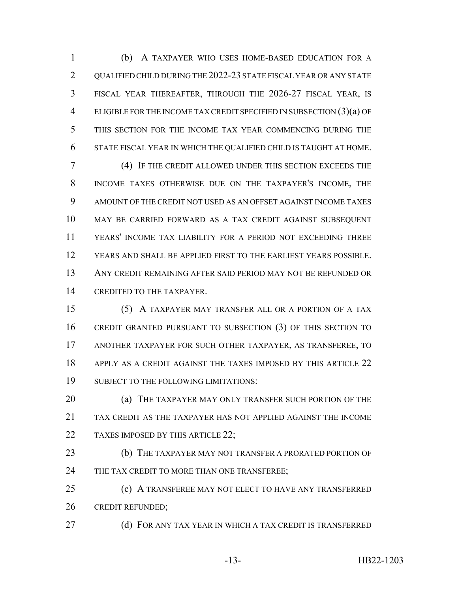(b) A TAXPAYER WHO USES HOME-BASED EDUCATION FOR A 2 QUALIFIED CHILD DURING THE 2022-23 STATE FISCAL YEAR OR ANY STATE FISCAL YEAR THEREAFTER, THROUGH THE 2026-27 FISCAL YEAR, IS ELIGIBLE FOR THE INCOME TAX CREDIT SPECIFIED IN SUBSECTION (3)(a) OF THIS SECTION FOR THE INCOME TAX YEAR COMMENCING DURING THE STATE FISCAL YEAR IN WHICH THE QUALIFIED CHILD IS TAUGHT AT HOME.

 (4) IF THE CREDIT ALLOWED UNDER THIS SECTION EXCEEDS THE INCOME TAXES OTHERWISE DUE ON THE TAXPAYER'S INCOME, THE AMOUNT OF THE CREDIT NOT USED AS AN OFFSET AGAINST INCOME TAXES MAY BE CARRIED FORWARD AS A TAX CREDIT AGAINST SUBSEQUENT YEARS' INCOME TAX LIABILITY FOR A PERIOD NOT EXCEEDING THREE YEARS AND SHALL BE APPLIED FIRST TO THE EARLIEST YEARS POSSIBLE. ANY CREDIT REMAINING AFTER SAID PERIOD MAY NOT BE REFUNDED OR CREDITED TO THE TAXPAYER.

 (5) A TAXPAYER MAY TRANSFER ALL OR A PORTION OF A TAX CREDIT GRANTED PURSUANT TO SUBSECTION (3) OF THIS SECTION TO ANOTHER TAXPAYER FOR SUCH OTHER TAXPAYER, AS TRANSFEREE, TO 18 APPLY AS A CREDIT AGAINST THE TAXES IMPOSED BY THIS ARTICLE 22 SUBJECT TO THE FOLLOWING LIMITATIONS:

**(a) THE TAXPAYER MAY ONLY TRANSFER SUCH PORTION OF THE**  TAX CREDIT AS THE TAXPAYER HAS NOT APPLIED AGAINST THE INCOME 22 TAXES IMPOSED BY THIS ARTICLE 22;

**(b)** THE TAXPAYER MAY NOT TRANSFER A PRORATED PORTION OF 24 THE TAX CREDIT TO MORE THAN ONE TRANSFEREE;

 (c) A TRANSFEREE MAY NOT ELECT TO HAVE ANY TRANSFERRED CREDIT REFUNDED;

**(d) FOR ANY TAX YEAR IN WHICH A TAX CREDIT IS TRANSFERRED**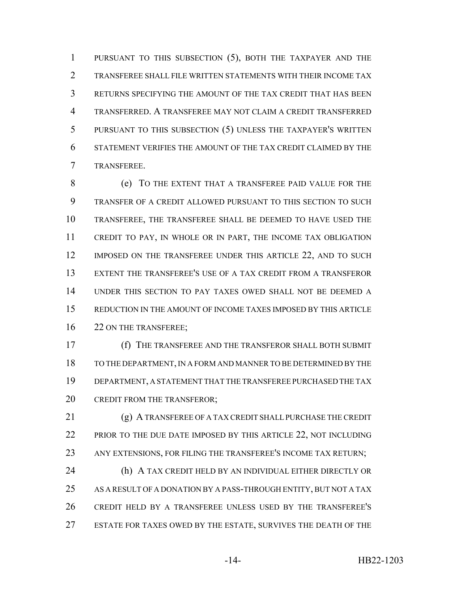PURSUANT TO THIS SUBSECTION (5), BOTH THE TAXPAYER AND THE TRANSFEREE SHALL FILE WRITTEN STATEMENTS WITH THEIR INCOME TAX RETURNS SPECIFYING THE AMOUNT OF THE TAX CREDIT THAT HAS BEEN TRANSFERRED. A TRANSFEREE MAY NOT CLAIM A CREDIT TRANSFERRED PURSUANT TO THIS SUBSECTION (5) UNLESS THE TAXPAYER'S WRITTEN STATEMENT VERIFIES THE AMOUNT OF THE TAX CREDIT CLAIMED BY THE TRANSFEREE.

 (e) TO THE EXTENT THAT A TRANSFEREE PAID VALUE FOR THE TRANSFER OF A CREDIT ALLOWED PURSUANT TO THIS SECTION TO SUCH TRANSFEREE, THE TRANSFEREE SHALL BE DEEMED TO HAVE USED THE CREDIT TO PAY, IN WHOLE OR IN PART, THE INCOME TAX OBLIGATION 12 IMPOSED ON THE TRANSFEREE UNDER THIS ARTICLE 22, AND TO SUCH EXTENT THE TRANSFEREE'S USE OF A TAX CREDIT FROM A TRANSFEROR UNDER THIS SECTION TO PAY TAXES OWED SHALL NOT BE DEEMED A REDUCTION IN THE AMOUNT OF INCOME TAXES IMPOSED BY THIS ARTICLE 16 22 ON THE TRANSFEREE;

 (f) THE TRANSFEREE AND THE TRANSFEROR SHALL BOTH SUBMIT TO THE DEPARTMENT, IN A FORM AND MANNER TO BE DETERMINED BY THE DEPARTMENT, A STATEMENT THAT THE TRANSFEREE PURCHASED THE TAX 20 CREDIT FROM THE TRANSFEROR;

 (g) A TRANSFEREE OF A TAX CREDIT SHALL PURCHASE THE CREDIT 22 PRIOR TO THE DUE DATE IMPOSED BY THIS ARTICLE 22, NOT INCLUDING ANY EXTENSIONS, FOR FILING THE TRANSFEREE'S INCOME TAX RETURN; (h) A TAX CREDIT HELD BY AN INDIVIDUAL EITHER DIRECTLY OR 25 AS A RESULT OF A DONATION BY A PASS-THROUGH ENTITY, BUT NOT A TAX CREDIT HELD BY A TRANSFEREE UNLESS USED BY THE TRANSFEREE'S ESTATE FOR TAXES OWED BY THE ESTATE, SURVIVES THE DEATH OF THE